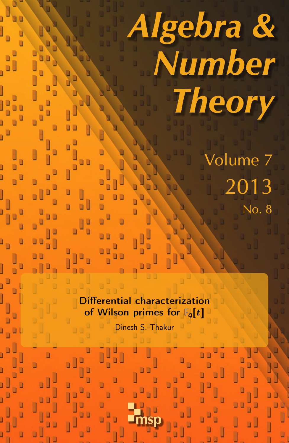# Algebra & Number **Theory** Volume 7 2013

No. 8

Differential characterization of Wilson primes for  $\mathbb{F}_q[t]$ 

Dinesh S. Thakur

msp

ú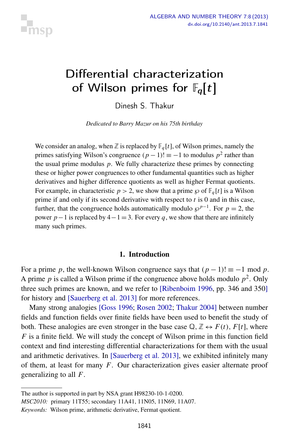

# <span id="page-1-0"></span>Differential characterization of Wilson primes for  $\mathbb{F}_q[t]$

Dinesh S. Thakur

*Dedicated to Barry Mazur on his 75th birthday*

We consider an analog, when  $\mathbb Z$  is replaced by  $\mathbb F_q[t]$ , of Wilson primes, namely the primes satisfying Wilson's congruence  $(p-1)!$  ≡ −1 to modulus  $p^2$  rather than the usual prime modulus *p*. We fully characterize these primes by connecting these or higher power congruences to other fundamental quantities such as higher derivatives and higher difference quotients as well as higher Fermat quotients. For example, in characteristic  $p > 2$ , we show that a prime  $\wp$  of  $\mathbb{F}_q[t]$  is a Wilson prime if and only if its second derivative with respect to *t* is 0 and in this case, further, that the congruence holds automatically modulo  $\wp^{p-1}$ . For  $p = 2$ , the power  $p-1$  is replaced by  $4-1=3$ . For every q, we show that there are infinitely many such primes.

#### 1. Introduction

For a prime *p*, the well-known Wilson congruence says that  $(p - 1)! \equiv -1 \mod p$ . A prime  $p$  is called a Wilson prime if the congruence above holds modulo  $p^2$ . Only three such primes are known, and we refer to [\[Ribenboim 1996,](#page-8-0) pp. 346 and 350] for history and [\[Sauerberg et al. 2013\]](#page-8-1) for more references.

Many strong analogies [\[Goss 1996;](#page-7-0) [Rosen 2002;](#page-8-2) [Thakur 2004\]](#page-8-3) between number fields and function fields over finite fields have been used to benefit the study of both. These analogies are even stronger in the base case  $\mathbb{Q}, \mathbb{Z} \leftrightarrow F(t)$ ,  $F[t]$ , where *F* is a finite field. We will study the concept of Wilson prime in this function field context and find interesting differential characterizations for them with the usual and arithmetic derivatives. In [\[Sauerberg et al. 2013\]](#page-8-1), we exhibited infinitely many of them, at least for many *F*. Our characterization gives easier alternate proof generalizing to all *F*.

The author is supported in part by NSA grant H98230-10-1-0200.

*MSC2010:* primary 11T55; secondary 11A41, 11N05, 11N69, 11A07.

*Keywords:* Wilson prime, arithmetic derivative, Fermat quotient.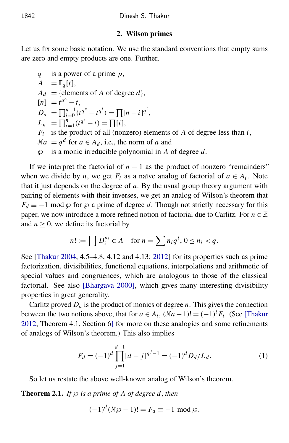#### 2. Wilson primes

Let us fix some basic notation. We use the standard conventions that empty sums are zero and empty products are one. Further,

*q* is a power of a prime *p*,  $A = \mathbb{F}_q[t],$  $A_d$  = {elements of *A* of degree *d*},  $[n] = t^{q^n} - t,$  $D_n = \prod_{i=0}^{n-1} (t^{q^n} - t^{q^i}) = \prod_{i=0}^{n} [n-i]^{q^i},$  $L_n = \prod_{i=1}^n (t^{q^i} - t) = \prod_i [i],$ *Fi* is the product of all (nonzero) elements of *A* of degree less than *i*,  $\mathcal{N}a = q^d$  for  $a \in A_d$ , i.e., the norm of *a* and ℘ is a monic irreducible polynomial in *A* of degree *d*.

If we interpret the factorial of  $n - 1$  as the product of nonzero "remainders" when we divide by *n*, we get  $F_i$  as a naïve analog of factorial of  $a \in A_i$ . Note that it just depends on the degree of *a*. By the usual group theory argument with pairing of elements with their inverses, we get an analog of Wilson's theorem that  $F_d \equiv -1 \mod \wp$  for  $\wp$  a prime of degree *d*. Though not strictly necessary for this paper, we now introduce a more refined notion of factorial due to Carlitz. For  $n \in \mathbb{Z}$ and  $n \geq 0$ , we define its factorial by

$$
n! := \prod D_i^{n_i} \in A \quad \text{for } n = \sum n_i q^i, \, 0 \le n_i < q.
$$

See [\[Thakur 2004,](#page-8-3) 4.5–4.8, 4.12 and 4.13; [2012\]](#page-8-4) for its properties such as prime factorization, divisibilities, functional equations, interpolations and arithmetic of special values and congruences, which are analogous to those of the classical factorial. See also [\[Bhargava 2000\]](#page-7-1), which gives many interesting divisibility properties in great generality.

Carlitz proved  $D_n$  is the product of monics of degree *n*. This gives the connection between the two notions above, that for  $a \in A_i$ ,  $(\mathcal{N}a - 1)! = (-1)^i F_i$ . (See [\[Thakur](#page-8-4) [2012,](#page-8-4) Theorem 4.1, Section 6] for more on these analogies and some refinements of analogs of Wilson's theorem.) This also implies

$$
F_d = (-1)^d \prod_{j=1}^{d-1} [d-j]^{q^j - 1} = (-1)^d D_d / L_d.
$$
 (1)

So let us restate the above well-known analog of Wilson's theorem.

**Theorem 2.1.** *If*  $\wp$  *is a prime of A of degree d, then* 

$$
(-1)^d (\mathcal{N}\wp - 1)! = F_d \equiv -1 \mod \wp.
$$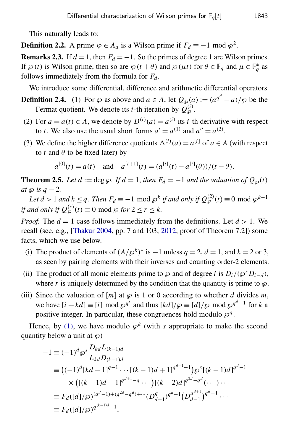This naturally leads to:

**Definition 2.2.** A prime  $\wp \in A_d$  is a Wilson prime if  $F_d \equiv -1 \mod \wp^2$ .

**Remarks 2.3.** If  $d = 1$ , then  $F_d = -1$ . So the primes of degree 1 are Wilson primes. If  $\wp(t)$  is Wilson prime, then so are  $\wp(t+\theta)$  and  $\wp(\mu t)$  for  $\theta \in \mathbb{F}_q$  and  $\mu \in \mathbb{F}_q^*$  as follows immediately from the formula for  $F_d$ .

We introduce some differential, difference and arithmetic differential operators.

<span id="page-3-0"></span>**Definition 2.4.** (1) For  $\wp$  as above and  $a \in A$ , let  $Q_{\wp}(a) := (a^{q^d} - a)/\wp$  be the Fermat quotient. We denote its *i*-th iteration by  $\hat{Q}_{\wp}^{(i)}$ .

- (2) For  $a = a(t) \in A$ , we denote by  $D^{(i)}(a) = a^{(i)}$  its *i*-th derivative with respect to *t*. We also use the usual short forms  $a' = a^{(1)}$  and  $a'' = a^{(2)}$ .
- (3) We define the higher difference quotients  $\Delta^{(i)}(a) = a^{[i]}$  of  $a \in A$  (with respect to *t* and  $\theta$  to be fixed later) by

$$
a^{[0]}(t) = a(t)
$$
 and  $a^{[i+1]}(t) = (a^{[i]}(t) - a^{[i]}(\theta))/(t - \theta).$ 

<span id="page-3-1"></span>**Theorem 2.5.** Let  $d := \deg \wp$ . If  $d = 1$ , then  $F_d = -1$  and the valuation of  $Q_{\wp}(t)$ *at*  $\wp$  *is*  $q - 2$ *.* 

*Let*  $d > 1$  *and*  $k \leq q$ . Then  $F_d \equiv -1 \mod \wp^k$  if and only if  $Q_{\wp}^{(2)}(t) \equiv 0 \mod \wp^{k-1}$ *if and only if*  $Q_{\wp}^{(r)}(t) \equiv 0 \text{ mod } \wp$  *for*  $2 \le r \le k$ .

*Proof.* The  $d = 1$  case follows immediately from the definitions. Let  $d > 1$ . We recall (see, e.g., [\[Thakur 2004,](#page-8-3) pp. 7 and 103; [2012,](#page-8-4) proof of Theorem 7.2]) some facts, which we use below.

- (i) The product of elements of  $(A/\wp^k)^*$  is  $-1$  unless  $q = 2$ ,  $d = 1$ , and  $k = 2$  or 3, as seen by pairing elements with their inverses and counting order-2 elements.
- (ii) The product of all monic elements prime to  $\wp$  and of degree *i* is  $D_i/(\wp^r D_{i-d})$ , where r is uniquely determined by the condition that the quantity is prime to  $\wp$ .
- (iii) Since the valuation of  $[m]$  at  $\wp$  is 1 or 0 according to whether *d* divides *m*, we have  $[i + kd] \equiv [i] \mod \wp^{q^i}$  and thus  $[kd]/\wp \equiv [d]/\wp \mod \wp^{q^d-1}$  for *k* a positive integer. In particular, these congruences hold modulo  $\wp^q$ .

Hence, by [\(1\),](#page-3-0) we have modulo  $\varphi^k$  (with *s* appropriate to make the second quantity below a unit at  $\wp$ )

$$
-1 \equiv (-1)^d \wp^s \frac{D_{kd} L_{(k-1)d}}{L_{kd} D_{(k-1)d}}
$$
  
\n
$$
\equiv ((-1)^d [kd - 1]^{q-1} \cdots [(k - 1)d + 1]^{q^{d-1}-1}) \wp^s [(k - 1)d]^{q^d-1}
$$
  
\n
$$
\times ([(k - 1)d - 1]^{q^{d+1}-q} \cdots) [(k - 2)d]^{q^{2d}-q^d} (\cdots) \cdots
$$
  
\n
$$
\equiv F_d([d]/\wp)^{(q^d-1)+(q^{2d}-q^d)+\cdots} (D_{d-1}^q)^{q^d-1} (D_{d-1}^{q^{d+1}})^{q^d-1} \cdots
$$
  
\n
$$
\equiv F_d([d]/\wp)^{q^{(k-1)d}-1},
$$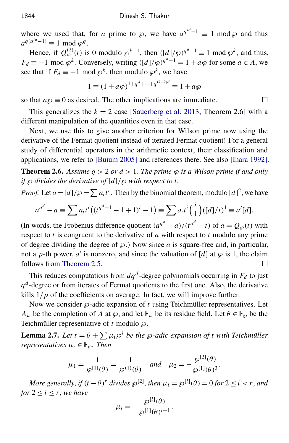where we used that, for *a* prime to  $\wp$ , we have  $a^{q^{id}-1} \equiv 1 \mod \wp$  and thus  $a^{q(q^{id}-1)} \equiv 1 \mod \wp^q$ .

Hence, if  $Q_{\wp}^{(2)}(t)$  is 0 modulo  $\wp^{k-1}$ , then  $([d]/\wp)^{q^d-1} \equiv 1 \mod \wp^k$ , and thus,  $F_d \equiv -1 \mod \wp^k$ . Conversely, writing  $([d]/\wp)^{q^d-1} = 1 + a\wp$  for some  $a \in A$ , we see that if  $F_d \equiv -1 \mod \wp^k$ , then modulo  $\wp^k$ , we have

$$
1 \equiv (1 + a\wp)^{1 + q^d + \dots + q^{(k-2)d}} \equiv 1 + a\wp
$$

so that  $a\wp \equiv 0$  as desired. The other implications are immediate.

This generalizes the  $k = 2$  case [\[Sauerberg et al. 2013,](#page-8-1) Theorem 2.6] with a different manipulation of the quantities even in that case.

Next, we use this to give another criterion for Wilson prime now using the derivative of the Fermat quotient instead of iterated Fermat quotient! For a general study of differential operators in the arithmetic context, their classification and applications, we refer to [\[Buium 2005\]](#page-7-2) and references there. See also [\[Ihara 1992\]](#page-8-5).

<span id="page-4-1"></span>**Theorem 2.6.** Assume  $q > 2$  or  $d > 1$ . The prime  $\wp$  is a Wilson prime if and only *if* ℘ *divides the derivative of* [*d*]/℘ *with respect to t.*

*Proof.* Let  $a = [d]/\wp = \sum a_i t^i$ . Then by the binomial theorem, modulo  $[d]^2$ , we have

$$
a^{q^d} - a \equiv \sum a_i t^i \big( (t^{q^d - 1} - 1 + 1)^i - 1 \big) \equiv \sum a_i t^i \binom{i}{1} \big( [d] / t \big)^1 \equiv a'[d].
$$

(In words, the Frobenius difference quotient  $(a^{q^d} - a)/(t^{q^d} - t)$  of  $a = Q_{\wp}(t)$  with respect to *t* is congruent to the derivative of *a* with respect to *t* modulo any prime of degree dividing the degree of  $\wp$ .) Now since  $a$  is square-free and, in particular, not a *p*-th power, *a'* is nonzero, and since the valuation of [*d*] at  $\wp$  is 1, the claim follows from [Theorem 2.5.](#page-3-1)

This reduces computations from  $dq^d$ -degree polynomials occurring in  $F_d$  to just *q d* -degree or from iterates of Fermat quotients to the first one. Also, the derivative kills  $1/p$  of the coefficients on average. In fact, we will improve further.

Now we consider  $\wp$ -adic expansion of *t* using Teichmüller representatives. Let *A*<sub> $\emptyset$ </sub> be the completion of *A* at  $\wp$ , and let  $\mathbb{F}_{\wp}$  be its residue field. Let  $\theta \in \mathbb{F}_{\wp}$  be the Teichmüller representative of  $t$  modulo  $\wp$ .

<span id="page-4-0"></span>**Lemma 2.7.** Let  $t = \theta + \sum \mu_i \wp^i$  be the  $\wp$ -adic expansion of *t* with Teichmüller *representatives*  $\mu_i \in \mathbb{F}_{\varnothing}$ *. Then* 

$$
\mu_1 = \frac{1}{\wp^{[1]}(\theta)} = \frac{1}{\wp^{(1)}(\theta)} \quad \text{and} \quad \mu_2 = -\frac{\wp^{[2]}(\theta)}{\wp^{[1]}(\theta)^3}.
$$

*More generally, if*  $(t - \theta)^r$  *divides*  $\wp^{[2]}$ *, then*  $\mu_i = \wp^{[i]}(\theta) = 0$  for  $2 \le i < r$ *, and for*  $2 < i < r$ *, we have*  $\mathbf{r}$ <sup> $\mathbf{i}$ </sup>

$$
\mu_i = -\frac{\wp^{[i]}(\theta)}{\wp^{[1]}(\theta)^{i+1}}.
$$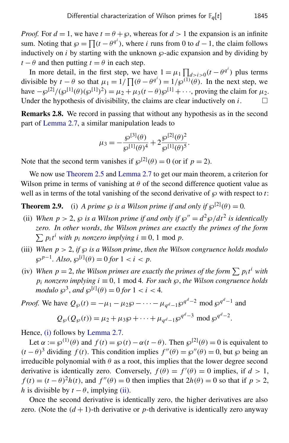*Proof.* For  $d = 1$ , we have  $t = \theta + \wp$ , whereas for  $d > 1$  the expansion is an infinite sum. Noting that  $\wp = \prod (t - \theta^{q^i})$ , where *i* runs from 0 to  $d - 1$ , the claim follows inductively on  $i$  by starting with the unknown  $\wp$ -adic expansion and by dividing by  $t - \theta$  and then putting  $t = \theta$  in each step.

In more detail, in the first step, we have  $1 = \mu_1 \prod_{d > i > 0} (t - \theta^{q^i})$  plus terms divisible by  $t - \theta$  so that  $\mu_1 = 1/\prod_{i} (\theta - \theta^{q_i}) = 1/\wp^{(1)}(\theta)$ . In the next step, we have  $-\wp^{[2]}/(\wp^{[1]}(\theta)(\wp^{[1]})^2) = \mu_2 + \mu_3(t-\theta)\wp^{[1]} + \cdots$ , proving the claim for  $\mu_2$ . Under the hypothesis of divisibility, the claims are clear inductively on *i*.

Remarks 2.8. We record in passing that without any hypothesis as in the second part of [Lemma 2.7,](#page-4-0) a similar manipulation leads to

$$
\mu_3 = -\frac{\wp^{[3]}(\theta)}{\wp^{[1]}(\theta)^4} + 2\frac{\wp^{[2]}(\theta)^2}{\wp^{[1]}(\theta)^5}.
$$

Note that the second term vanishes if  $\wp^{[2]}(\theta) = 0$  (or if  $p = 2$ ).

We now use [Theorem 2.5](#page-3-1) and [Lemma 2.7](#page-4-0) to get our main theorem, a criterion for Wilson prime in terms of vanishing at  $\theta$  of the second difference quotient value as well as in terms of the total vanishing of the second derivative of  $\wp$  with respect to *t*:

<span id="page-5-4"></span><span id="page-5-0"></span>**Theorem 2.9.** (i) *A prime*  $\wp$  *is a Wilson prime if and only if*  $\wp^{[2]}(\theta) = 0$ .

- <span id="page-5-1"></span>(ii) When  $p > 2$ ,  $\wp$  *is a Wilson prime if and only if*  $\wp'' = d^2 \wp / dt^2$  *is identically zero. In other words*, *the Wilson primes are exactly the primes of the form*  $\sum p_i t^i$  *with*  $p_i$  *nonzero implying*  $i \equiv 0, 1 \text{ mod } p$ .
- <span id="page-5-2"></span>(iii) When  $p > 2$ , *if*  $\wp$  *is a Wilson prime, then the Wilson congruence holds modulo*  $\wp^{p-1}$ *. Also,*  $\wp^{[i]}(\theta) = 0$  *for*  $1 < i < p$ *.*
- <span id="page-5-3"></span>(iv) When  $p = 2$ , the Wilson primes are exactly the primes of the form  $\sum p_i t^i$  with  $p_i$  *nonzero implying*  $i \equiv 0, 1 \mod 4$ *. For such*  $\wp$ *, the Wilson congruence holds modulo*  $\wp^3$ *, and*  $\wp^{[i]}(\theta) = 0$  *for*  $1 < i < 4$ *.*

*Proof.* We have 
$$
Q_{\wp}(t) = -\mu_1 - \mu_2 \wp - \cdots - \mu_{q^d - 1} \wp^{q^d - 2} \mod \wp^{q^d - 1}
$$
 and  
 $Q_{\wp}(Q_{\wp}(t)) = \mu_2 + \mu_3 \wp + \cdots + \mu_{q^d - 1} \wp^{q^d - 3} \mod \wp^{q^d - 2}$ .

Hence, [\(i\)](#page-5-0) follows by [Lemma 2.7.](#page-4-0)

Let  $\alpha := \wp^{(1)}(\theta)$  and  $f(t) = \wp(t) - \alpha(t - \theta)$ . Then  $\wp^{[2]}(\theta) = 0$  is equivalent to  $(t - \theta)^3$  dividing  $f(t)$ . This condition implies  $f''(\theta) = \wp''(\theta) = 0$ , but  $\wp$  being an irreducible polynomial with  $\theta$  as a root, this implies that the lower degree second derivative is identically zero. Conversely,  $f(\theta) = f'(\theta) = 0$  implies, if  $d > 1$ ,  $f(t) = (t - \theta)^2 h(t)$ , and  $f''(\theta) = 0$  then implies that  $2h(\theta) = 0$  so that if  $p > 2$ , *h* is divisible by  $t - \theta$ , implying [\(ii\).](#page-5-1)

Once the second derivative is identically zero, the higher derivatives are also zero. (Note the  $(d+1)$ -th derivative or *p*-th derivative is identically zero anyway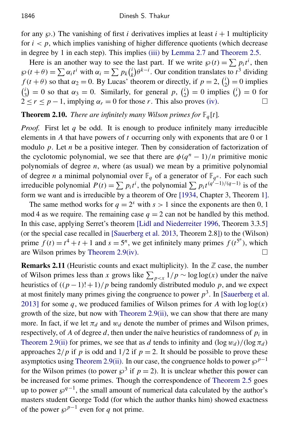for any  $\wp$ .) The vanishing of first *i* derivatives implies at least  $i + 1$  multiplicity for  $i < p$ , which implies vanishing of higher difference quotients (which decrease in degree by 1 in each step). This implies [\(iii\)](#page-5-2) by [Lemma 2.7](#page-4-0) and [Theorem 2.5.](#page-3-1)

Here is an another way to see the last part. If we write  $\wp(t) = \sum p_i t^i$ , then  $\wp(t+\theta) = \sum \alpha_i t^i$  with  $\alpha_i = \sum p_k \binom{i}{k}$  $h(k)$  $\theta^{k-i}$ . Our condition translates to *t*<sup>3</sup> dividing  $f(t + \theta)$  so that  $\alpha_2 = 0$ . By Lucas' theorem or directly, if  $p = 2$ ,  $\binom{i}{2}$  $i_2^i$  = 0 implies  $\binom{i}{i}$  $\alpha_3^{i}$  = 0 so that  $\alpha_3$  = 0. Similarly, for general p,  $\binom{i}{2}$  $j_2^{i}$  = 0 implies  $j_r^{i}$  $\binom{i}{r} = 0$  for  $2 \le r \le p - 1$ , implying  $\alpha_r = 0$  for those *r*. This also proves [\(iv\).](#page-5-3)

**Theorem 2.10.** *There are infinitely many Wilson primes for*  $\mathbb{F}_q[t]$ *.* 

*Proof.* First let *q* be odd. It is enough to produce infinitely many irreducible elements in *A* that have powers of *t* occurring only with exponents that are 0 or 1 modulo *p*. Let *n* be a positive integer. Then by consideration of factorization of the cyclotomic polynomial, we see that there are  $\phi(q^n - 1)/n$  primitive monic polynomials of degree *n*, where (as usual) we mean by a primitive polynomial of degree *n* a minimal polynomial over  $\mathbb{F}_q$  of a generator of  $\mathbb{F}_{q^n}$ . For each such irreducible polynomial  $P(t) = \sum p_i t^i$ , the polynomial  $\sum p_i t^{(q^i-1)/(q-1)}$  is of the form we want and is irreducible by a theorem of Ore [\[1934,](#page-8-6) Chapter 3, Theorem 1].

The same method works for  $q = 2^s$  with  $s > 1$  since the exponents are then 0, 1 mod 4 as we require. The remaining case  $q = 2$  can not be handled by this method. In this case, applying Serret's theorem [\[Lidl and Niederreiter 1996,](#page-8-7) Theorem 3.3.5] (or the special case recalled in [\[Sauerberg et al. 2013,](#page-8-1) Theorem 2.8]) to the (Wilson) prime  $f(t) = t^4 + t + 1$  and  $s = 5^n$ , we get infinitely many primes  $f(t^{5^n})$ , which are Wilson primes by [Theorem 2.9](#page-5-4)[\(iv\).](#page-5-3)  $\Box$ 

**Remarks 2.11** (Heuristic counts and exact multiplicity). In the  $\mathbb{Z}$  case, the number of Wilson primes less than *x* grows like  $\sum_{p \le x} 1/p \sim \log \log(x)$  under the naïve heuristics of  $((p-1)! + 1)/p$  being randomly distributed modulo p, and we expect at most finitely many primes giving the congruence to power  $p<sup>3</sup>$ . In [\[Sauerberg et al.](#page-8-1) [2013\]](#page-8-1) for some *q*, we produced families of Wilson primes for *A* with  $log log(x)$ growth of the size, but now with Theorem  $2.9(i)$ , we can show that there are many more. In fact, if we let  $\pi_d$  and  $w_d$  denote the number of primes and Wilson primes, respectively, of *A* of degree *d*, then under the naïve heuristics of randomness of *p<sup>i</sup>* in [Theorem 2.9](#page-5-4)[\(ii\)](#page-5-1) for primes, we see that as *d* tends to infinity and  $(\log w_d)/(\log \pi_d)$ approaches  $2/p$  if *p* is odd and  $1/2$  if  $p = 2$ . It should be possible to prove these asymptotics using [Theorem 2.9](#page-5-4)[\(ii\).](#page-5-1) In our case, the congruence holds to power  $\wp^{p-1}$ for the Wilson primes (to power  $\wp^3$  if  $p=2$ ). It is unclear whether this power can be increased for some primes. Though the correspondence of [Theorem 2.5](#page-3-1) goes up to power  $\wp^{q-1}$ , the small amount of numerical data calculated by the author's masters student George Todd (for which the author thanks him) showed exactness of the power  $\wp^{p-1}$  even for *q* not prime.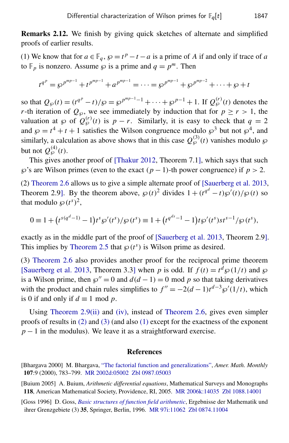Remarks 2.12. We finish by giving quick sketches of alternate and simplified proofs of earlier results.

<span id="page-7-5"></span>(1) We know that for  $a \in \mathbb{F}_q$ ,  $\wp = t^p - t - a$  is a prime of *A* if and only if trace of *a* to  $\mathbb{F}_p$  is nonzero. Assume  $\wp$  is a prime and  $q = p^m$ . Then

$$
t^{q^p} = \wp^{p^{mp-1}} + t^{p^{mp-1}} + a^{p^{mp-1}} = \cdots = \wp^{p^{mp-1}} + \wp^{p^{mp-2}} + \cdots + \wp + t^{p^{mp-2}}
$$

so that  $Q_{\wp}(t) = (t^{q^p} - t)/\wp = \wp^{p^{mp-1}-1} + \cdots + \wp^{p-1} + 1$ . If  $Q_{\wp}^{(r)}(t)$  denotes the *r*-th iteration of  $Q_{\wp}$ , we see immediately by induction that for  $p \ge r > 1$ , the valuation at  $\wp$  of  $Q_{\wp}^{(r)}(t)$  is  $p-r$ . Similarly, it is easy to check that  $q=2$ and  $\wp = t^4 + t + 1$  satisfies the Wilson congruence modulo  $\wp^3$  but not  $\wp^4$ , and similarly, a calculation as above shows that in this case  $Q_{\wp}^{(3)}(t)$  vanishes modulo  $\wp$ but not  $Q_{\wp}^{(4)}(t)$ .

This gives another proof of [\[Thakur 2012,](#page-8-4) Theorem 7.1], which says that such  $\wp$ 's are Wilson primes (even to the exact  $(p-1)$ -th power congruence) if  $p > 2$ .

<span id="page-7-3"></span>(2) [Theorem 2.6](#page-4-1) allows us to give a simple alternate proof of [\[Sauerberg et al. 2013,](#page-8-1) Theorem 2.9]. By the theorem above,  $\wp(t)^2$  divides  $1 + (t^{q^d} - t)\wp'(t)/\wp(t)$  so that modulo  $\wp(t^s)^2$ ,

$$
0 \equiv 1 + (t^{s(q^d-1)} - 1)t^s \wp'(t^s) / \wp(t^s) \equiv 1 + (t^{q^{ds}-1} - 1)t\wp'(t^s)st^{s-1}/\wp(t^s),
$$

exactly as in the middle part of the proof of [\[Sauerberg et al. 2013,](#page-8-1) Theorem 2.9]. This implies by [Theorem 2.5](#page-3-1) that  $\wp(t^s)$  is Wilson prime as desired.

<span id="page-7-4"></span>(3) [Theorem 2.6](#page-4-1) also provides another proof for the reciprocal prime theorem [\[Sauerberg et al. 2013,](#page-8-1) Theorem 3.3] when *p* is odd. If  $f(t) = t^d \wp(1/t)$  and  $\wp$ is a Wilson prime, then  $\wp'' = 0$  and  $d(d-1) = 0$  mod p so that taking derivatives with the product and chain rules simplifies to  $f'' = -2(d-1)t^{d-3}\wp'(1/t)$ , which is 0 if and only if  $d \equiv 1 \mod p$ .

Using [Theorem 2.9](#page-5-4)[\(ii\)](#page-5-1) and [\(iv\),](#page-5-3) instead of [Theorem 2.6,](#page-4-1) gives even simpler proofs of results in [\(2\)](#page-7-3) and [\(3\)](#page-7-4) (and also [\(1\)](#page-7-5) except for the exactness of the exponent  $p-1$  in the modulus). We leave it as a straightforward exercise.

#### **References**

- <span id="page-7-1"></span>[Bhargava 2000] M. Bhargava, ["The factorial function and generalizations",](http://dx.doi.org/10.2307/2695734) *Amer. Math. Monthly* 107:9 (2000), 783–799. [MR 2002d:05002](http://msp.org/idx/mr/2002d:05002) [Zbl 0987.05003](http://msp.org/idx/zbl/0987.05003)
- <span id="page-7-2"></span>[Buium 2005] A. Buium, *Arithmetic differential equations*, Mathematical Surveys and Monographs 118, American Mathematical Society, Providence, RI, 2005. [MR 2006k:14035](http://msp.org/idx/mr/2006k:14035) [Zbl 1088.14001](http://msp.org/idx/zbl/1088.14001)
- <span id="page-7-0"></span>[Goss 1996] D. Goss, *[Basic structures of function field arithmetic](http://dx.doi.org/10.1007/978-3-642-61480-4)*, Ergebnisse der Mathematik und ihrer Grenzgebiete (3) 35, Springer, Berlin, 1996. [MR 97i:11062](http://msp.org/idx/mr/97i:11062) [Zbl 0874.11004](http://msp.org/idx/zbl/0874.11004)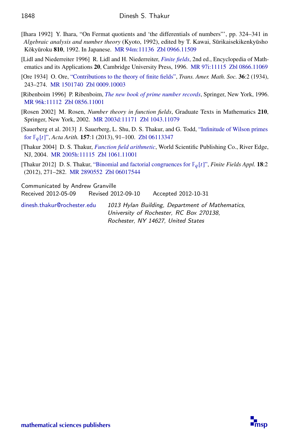- <span id="page-8-5"></span>[Ihara 1992] Y. Ihara, "On Fermat quotients and 'the differentials of numbers"', pp. 324–341 in *Algebraic analysis and number theory* (Kyoto, 1992), edited by T. Kawai, Sūrikaisekikenkyūsho Kōkyūroku 810, 1992. In Japanese. [MR 94m:11136](http://msp.org/idx/mr/94m:11136) [Zbl 0966.11509](http://msp.org/idx/zbl/0966.11509)
- <span id="page-8-7"></span>[Lidl and Niederreiter 1996] R. Lidl and H. Niederreiter, *[Finite fields](http://dx.doi.org/10.1017/CBO9780511525926)*, 2nd ed., Encyclopedia of Math-ematics and its Applications 20, Cambridge University Press, 1996. [MR 97i:11115](http://msp.org/idx/mr/97i:11115) [Zbl 0866.11069](http://msp.org/idx/zbl/0866.11069)
- <span id="page-8-6"></span>[Ore 1934] O. Ore, ["Contributions to the theory of finite fields",](http://dx.doi.org/10.2307/1989836) *Trans. Amer. Math. Soc.* 36:2 (1934), 243–274. [MR 1501740](http://msp.org/idx/mr/1501740) [Zbl 0009.10003](http://msp.org/idx/zbl/0009.10003)
- <span id="page-8-0"></span>[Ribenboim 1996] P. Ribenboim, *[The new book of prime number records](http://dx.doi.org/10.1007/978-1-4612-0759-7)*, Springer, New York, 1996. [MR 96k:11112](http://msp.org/idx/mr/96k:11112) [Zbl 0856.11001](http://msp.org/idx/zbl/0856.11001)
- <span id="page-8-2"></span>[Rosen 2002] M. Rosen, *Number theory in function fields*, Graduate Texts in Mathematics 210, Springer, New York, 2002. [MR 2003d:11171](http://msp.org/idx/mr/2003d:11171) [Zbl 1043.11079](http://msp.org/idx/zbl/1043.11079)
- <span id="page-8-1"></span>[Sauerberg et al. 2013] J. Sauerberg, L. Shu, D. S. Thakur, and G. Todd, ["Infinitude of Wilson primes](http://dx.doi.org/10.4064/aa157-1-5) [for](http://dx.doi.org/10.4064/aa157-1-5) F*<sup>q</sup>* [*t*]", *Acta Arith.* 157:1 (2013), 91–100. [Zbl 06113347](http://msp.org/idx/zbl/06113347)
- <span id="page-8-3"></span>[Thakur 2004] D. S. Thakur, *[Function field arithmetic](http://dx.doi.org/10.1142/9789812562388)*, World Scientific Publishing Co., River Edge, NJ, 2004. [MR 2005h:11115](http://msp.org/idx/mr/2005h:11115) [Zbl 1061.11001](http://msp.org/idx/zbl/1061.11001)
- <span id="page-8-4"></span>[Thakur 2012] D. S. Thakur, ["Binomial and factorial congruences for](http://dx.doi.org/10.1016/j.ffa.2011.08.003) F*<sup>q</sup>* [*t*]", *Finite Fields Appl.* 18:2 (2012), 271–282. [MR 2890552](http://msp.org/idx/mr/2890552) [Zbl 06017544](http://msp.org/idx/zbl/06017544)

Communicated by Andrew Granville

Received 2012-05-09 Revised 2012-09-10 Accepted 2012-10-31

[dinesh.thakur@rochester.edu](mailto:dinesh.thakur@rochester.edu) 1013 Hylan Building, Department of Mathematics, University of Rochester, RC Box 270138, Rochester, NY 14627, United States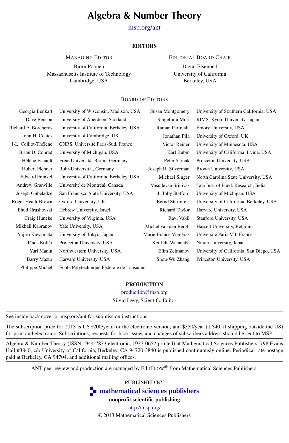### Algebra & Number Theory

[msp.org/ant](http://dx.doi.org/10.2140/ant)

#### **EDITORS**

MANAGING EDITOR

EDITORIAL BOARD CHAIR

Bjorn Poonen Massachusetts Institute of Technology Cambridge, USA

David Eisenbud University of California Berkeley, USA

#### BOARD OF EDITORS

| Georgia Benkart       | University of Wisconsin, Madison, USA    | Susan Montgomery       | University of Southern California, USA   |
|-----------------------|------------------------------------------|------------------------|------------------------------------------|
| Dave Benson           | University of Aberdeen, Scotland         | Shigefumi Mori         | RIMS, Kyoto University, Japan            |
| Richard E. Borcherds  | University of California, Berkeley, USA  | Raman Parimala         | Emory University, USA                    |
| John H. Coates        | University of Cambridge, UK              | Jonathan Pila          | University of Oxford, UK                 |
| J-L. Colliot-Thélène  | CNRS, Université Paris-Sud, France       | Victor Reiner          | University of Minnesota, USA             |
| Brian D. Conrad       | University of Michigan, USA              | Karl Rubin             | University of California, Irvine, USA    |
| Hélène Esnault        | Freie Universität Berlin, Germany        | Peter Sarnak           | Princeton University, USA                |
| Hubert Flenner        | Ruhr-Universität, Germany                | Joseph H. Silverman    | Brown University, USA                    |
| <b>Edward Frenkel</b> | University of California, Berkeley, USA  | Michael Singer         | North Carolina State University, USA     |
| Andrew Granville      | Université de Montréal, Canada           | Vasudevan Srinivas     | Tata Inst. of Fund. Research, India      |
| Joseph Gubeladze      | San Francisco State University, USA      | J. Toby Stafford       | University of Michigan, USA              |
| Roger Heath-Brown     | Oxford University, UK                    | <b>Bernd Sturmfels</b> | University of California, Berkeley, USA  |
| Ehud Hrushovski       | Hebrew University, Israel                | Richard Taylor         | Harvard University, USA                  |
| Craig Huneke          | University of Virginia, USA              | Ravi Vakil             | Stanford University, USA                 |
| Mikhail Kapranov      | Yale University, USA                     | Michel van den Bergh   | Hasselt University, Belgium              |
| Yujiro Kawamata       | University of Tokyo, Japan               | Marie-France Vignéras  | Université Paris VII, France             |
| János Kollár          | Princeton University, USA                | Kei-Ichi Watanabe      | Nihon University, Japan                  |
| Yuri Manin            | Northwestern University, USA             | Efim Zelmanov          | University of California, San Diego, USA |
| <b>Barry Mazur</b>    | Harvard University, USA                  | Shou-Wu Zhang          | Princeton University, USA                |
| Philippe Michel       | École Polytechnique Fédérale de Lausanne |                        |                                          |
|                       |                                          |                        |                                          |

#### PRODUCTION

[production@msp.org](mailto:production@msp.org)

Silvio Levy, Scientific Editor

See inside back cover or [msp.org/ant](http://dx.doi.org/10.2140/ant) for submission instructions.

The subscription price for 2013 is US \$200/year for the electronic version, and \$350/year (+\$40, if shipping outside the US) for print and electronic. Subscriptions, requests for back issues and changes of subscribers address should be sent to MSP.

Algebra & Number Theory (ISSN 1944-7833 electronic, 1937-0652 printed) at Mathematical Sciences Publishers, 798 Evans Hall #3840, c/o University of California, Berkeley, CA 94720-3840 is published continuously online. Periodical rate postage paid at Berkeley, CA 94704, and additional mailing offices.

ANT peer review and production are managed by EditFLOW® from Mathematical Sciences Publishers.

PUBLISHED BY

**n** [mathematical sciences publishers](http://msp.org/)

nonprofit scientific publishing

<http://msp.org/> © 2013 Mathematical Sciences Publishers